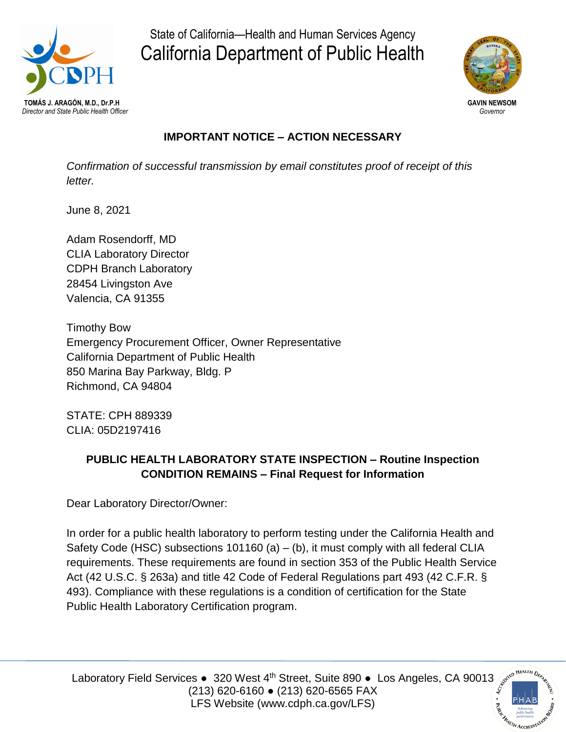

State of California—Health and Human Services Agency California Department of Public Health



# **IMPORTANT NOTICE – ACTION NECESSARY**

*Confirmation of successful transmission by email constitutes proof of receipt of this letter.*

June 8, 2021

Adam Rosendorff, MD CLIA Laboratory Director CDPH Branch Laboratory 28454 Livingston Ave Valencia, CA 91355

Timothy Bow Emergency Procurement Officer, Owner Representative California Department of Public Health 850 Marina Bay Parkway, Bldg. P Richmond, CA 94804

STATE: CPH 889339 CLIA: 05D2197416

# **PUBLIC HEALTH LABORATORY STATE INSPECTION – Routine Inspection CONDITION REMAINS – Final Request for Information**

Dear Laboratory Director/Owner:

In order for a public health laboratory to perform testing under the California Health and Safety Code (HSC) subsections  $101160$  (a) – (b), it must comply with all federal CLIA requirements. These requirements are found in section 353 of the Public Health Service Act (42 U.S.C. § 263a) and title 42 Code of Federal Regulations part 493 (42 C.F.R. § 493). Compliance with these regulations is a condition of certification for the State Public Health Laboratory Certification program.

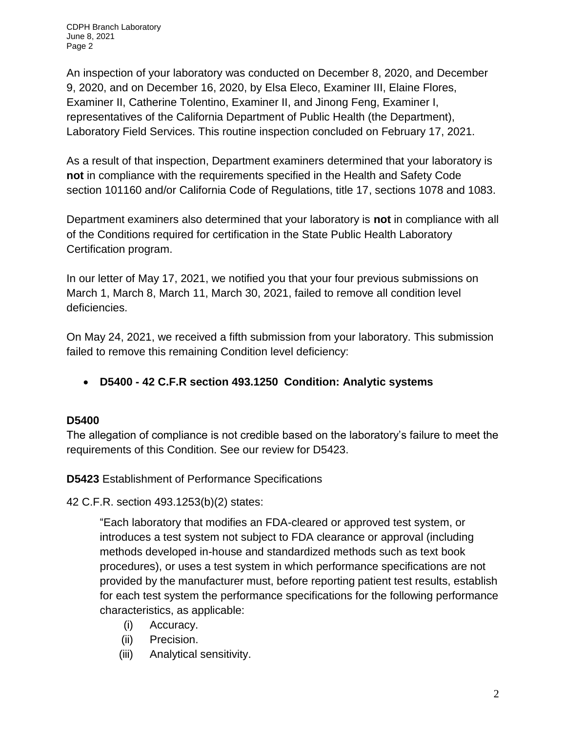CDPH Branch Laboratory June 8, 2021 Page 2

An inspection of your laboratory was conducted on December 8, 2020, and December 9, 2020, and on December 16, 2020, by Elsa Eleco, Examiner III, Elaine Flores, Examiner II, Catherine Tolentino, Examiner II, and Jinong Feng, Examiner I, representatives of the California Department of Public Health (the Department), Laboratory Field Services. This routine inspection concluded on February 17, 2021.

As a result of that inspection, Department examiners determined that your laboratory is **not** in compliance with the requirements specified in the Health and Safety Code section 101160 and/or California Code of Regulations, title 17, sections 1078 and 1083.

Department examiners also determined that your laboratory is **not** in compliance with all of the Conditions required for certification in the State Public Health Laboratory Certification program.

In our letter of May 17, 2021, we notified you that your four previous submissions on March 1, March 8, March 11, March 30, 2021, failed to remove all condition level deficiencies.

On May 24, 2021, we received a fifth submission from your laboratory. This submission failed to remove this remaining Condition level deficiency:

**D5400 - 42 C.F.R section 493.1250 Condition: Analytic systems**

### **D5400**

The allegation of compliance is not credible based on the laboratory's failure to meet the requirements of this Condition. See our review for D5423.

**D5423** Establishment of Performance Specifications

42 C.F.R. section 493.1253(b)(2) states:

"Each laboratory that modifies an FDA-cleared or approved test system, or introduces a test system not subject to FDA clearance or approval (including methods developed in-house and standardized methods such as text book procedures), or uses a test system in which performance specifications are not provided by the manufacturer must, before reporting patient test results, establish for each test system the performance specifications for the following performance characteristics, as applicable:

- (i) Accuracy.
- (ii) Precision.
- (iii) Analytical sensitivity.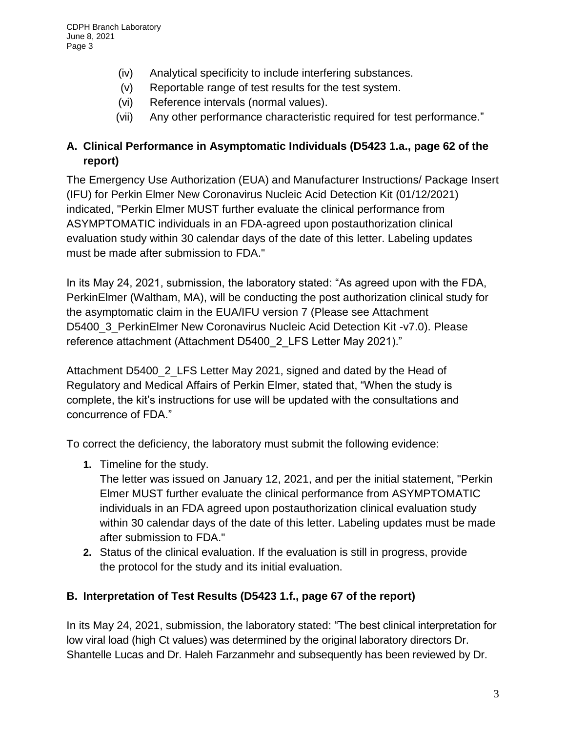- (iv) Analytical specificity to include interfering substances.
- (v) Reportable range of test results for the test system.
- (vi) Reference intervals (normal values).
- (vii) Any other performance characteristic required for test performance."

## **A. Clinical Performance in Asymptomatic Individuals (D5423 1.a., page 62 of the report)**

The Emergency Use Authorization (EUA) and Manufacturer Instructions/ Package Insert (IFU) for Perkin Elmer New Coronavirus Nucleic Acid Detection Kit (01/12/2021) indicated, "Perkin Elmer MUST further evaluate the clinical performance from ASYMPTOMATIC individuals in an FDA-agreed upon postauthorization clinical evaluation study within 30 calendar days of the date of this letter. Labeling updates must be made after submission to FDA."

In its May 24, 2021, submission, the laboratory stated: "As agreed upon with the FDA, PerkinElmer (Waltham, MA), will be conducting the post authorization clinical study for the asymptomatic claim in the EUA/IFU version 7 (Please see Attachment D5400\_3\_PerkinElmer New Coronavirus Nucleic Acid Detection Kit -v7.0). Please reference attachment (Attachment D5400\_2\_LFS Letter May 2021)."

Attachment D5400\_2\_LFS Letter May 2021, signed and dated by the Head of Regulatory and Medical Affairs of Perkin Elmer, stated that, "When the study is complete, the kit's instructions for use will be updated with the consultations and concurrence of FDA."

To correct the deficiency, the laboratory must submit the following evidence:

**1.** Timeline for the study.

The letter was issued on January 12, 2021, and per the initial statement, "Perkin Elmer MUST further evaluate the clinical performance from ASYMPTOMATIC individuals in an FDA agreed upon postauthorization clinical evaluation study within 30 calendar days of the date of this letter. Labeling updates must be made after submission to FDA."

**2.** Status of the clinical evaluation. If the evaluation is still in progress, provide the protocol for the study and its initial evaluation.

### **B. Interpretation of Test Results (D5423 1.f., page 67 of the report)**

In its May 24, 2021, submission, the laboratory stated: "The best clinical interpretation for low viral load (high Ct values) was determined by the original laboratory directors Dr. Shantelle Lucas and Dr. Haleh Farzanmehr and subsequently has been reviewed by Dr.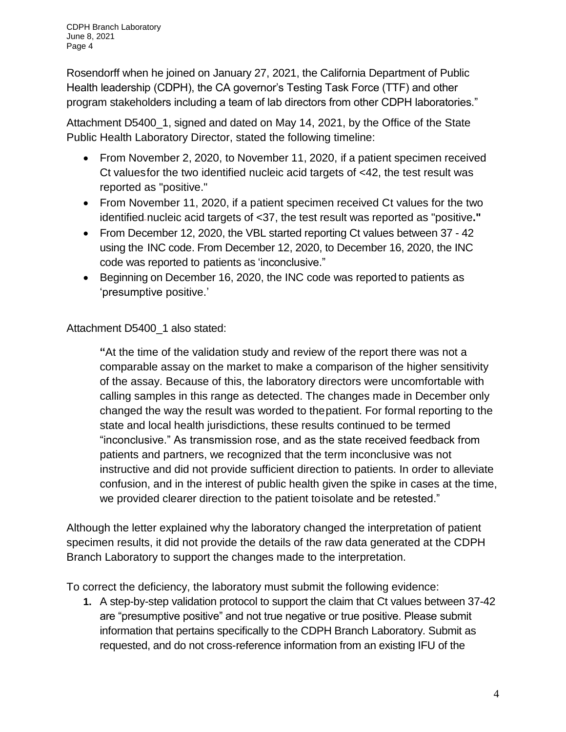Rosendorff when he joined on January 27, 2021, the California Department of Public Health leadership (CDPH), the CA governor's Testing Task Force (TTF) and other program stakeholders including a team of lab directors from other CDPH laboratories."

Attachment D5400 1, signed and dated on May 14, 2021, by the Office of the State Public Health Laboratory Director, stated the following timeline:

- From November 2, 2020, to November 11, 2020, if a patient specimen received Ct valuesfor the two identified nucleic acid targets of <42, the test result was reported as "positive."
- From November 11, 2020, if a patient specimen received Ct values for the two identified nucleic acid targets of <37, the test result was reported as "positive**."**
- From December 12, 2020, the VBL started reporting Ct values between 37 42 using the INC code. From December 12, 2020, to December 16, 2020, the INC code was reported to patients as 'inconclusive."
- Beginning on December 16, 2020, the INC code was reported to patients as 'presumptive positive.'

Attachment D5400 1 also stated:

**"**At the time of the validation study and review of the report there was not a comparable assay on the market to make a comparison of the higher sensitivity of the assay. Because of this, the laboratory directors were uncomfortable with calling samples in this range as detected. The changes made in December only changed the way the result was worded to thepatient. For formal reporting to the state and local health jurisdictions, these results continued to be termed "inconclusive." As transmission rose, and as the state received feedback from patients and partners, we recognized that the term inconclusive was not instructive and did not provide sufficient direction to patients. In order to alleviate confusion, and in the interest of public health given the spike in cases at the time, we provided clearer direction to the patient toisolate and be retested."

Although the letter explained why the laboratory changed the interpretation of patient specimen results, it did not provide the details of the raw data generated at the CDPH Branch Laboratory to support the changes made to the interpretation.

To correct the deficiency, the laboratory must submit the following evidence:

**1.** A step-by-step validation protocol to support the claim that Ct values between 37-42 are "presumptive positive" and not true negative or true positive. Please submit information that pertains specifically to the CDPH Branch Laboratory. Submit as requested, and do not cross-reference information from an existing IFU of the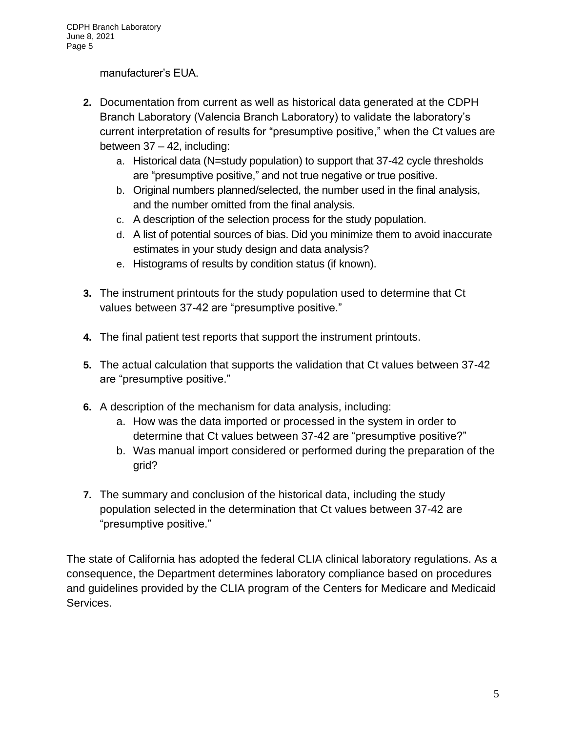manufacturer's EUA.

- **2.** Documentation from current as well as historical data generated at the CDPH Branch Laboratory (Valencia Branch Laboratory) to validate the laboratory's current interpretation of results for "presumptive positive," when the Ct values are between 37 – 42, including:
	- a. Historical data (N=study population) to support that 37-42 cycle thresholds are "presumptive positive," and not true negative or true positive.
	- b. Original numbers planned/selected, the number used in the final analysis, and the number omitted from the final analysis.
	- c. A description of the selection process for the study population.
	- d. A list of potential sources of bias. Did you minimize them to avoid inaccurate estimates in your study design and data analysis?
	- e. Histograms of results by condition status (if known).
- **3.** The instrument printouts for the study population used to determine that Ct values between 37-42 are "presumptive positive."
- **4.** The final patient test reports that support the instrument printouts.
- **5.** The actual calculation that supports the validation that Ct values between 37-42 are "presumptive positive."
- **6.** A description of the mechanism for data analysis, including:
	- a. How was the data imported or processed in the system in order to determine that Ct values between 37-42 are "presumptive positive?"
	- b. Was manual import considered or performed during the preparation of the grid?
- **7.** The summary and conclusion of the historical data, including the study population selected in the determination that Ct values between 37-42 are "presumptive positive."

The state of California has adopted the federal CLIA clinical laboratory regulations. As a consequence, the Department determines laboratory compliance based on procedures and guidelines provided by the CLIA program of the Centers for Medicare and Medicaid Services.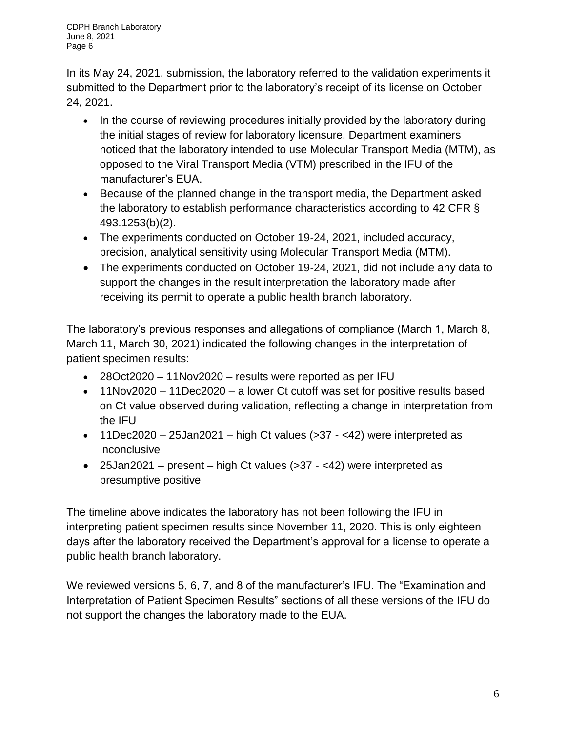CDPH Branch Laboratory June 8, 2021 Page 6

In its May 24, 2021, submission, the laboratory referred to the validation experiments it submitted to the Department prior to the laboratory's receipt of its license on October 24, 2021.

- In the course of reviewing procedures initially provided by the laboratory during the initial stages of review for laboratory licensure, Department examiners noticed that the laboratory intended to use Molecular Transport Media (MTM), as opposed to the Viral Transport Media (VTM) prescribed in the IFU of the manufacturer's EUA.
- Because of the planned change in the transport media, the Department asked the laboratory to establish performance characteristics according to 42 CFR § 493.1253(b)(2).
- The experiments conducted on October 19-24, 2021, included accuracy, precision, analytical sensitivity using Molecular Transport Media (MTM).
- The experiments conducted on October 19-24, 2021, did not include any data to support the changes in the result interpretation the laboratory made after receiving its permit to operate a public health branch laboratory.

The laboratory's previous responses and allegations of compliance (March 1, March 8, March 11, March 30, 2021) indicated the following changes in the interpretation of patient specimen results:

- 28Oct2020 11Nov2020 results were reported as per IFU
- 11Nov2020 11Dec2020 a lower Ct cutoff was set for positive results based on Ct value observed during validation, reflecting a change in interpretation from the IFU
- $\bullet$  11Dec2020 25Jan2021 high Ct values (>37 <42) were interpreted as inconclusive
- 25Jan2021 present high Ct values  $($ >37 <42) were interpreted as presumptive positive

The timeline above indicates the laboratory has not been following the IFU in interpreting patient specimen results since November 11, 2020. This is only eighteen days after the laboratory received the Department's approval for a license to operate a public health branch laboratory.

We reviewed versions 5, 6, 7, and 8 of the manufacturer's IFU. The "Examination and Interpretation of Patient Specimen Results" sections of all these versions of the IFU do not support the changes the laboratory made to the EUA.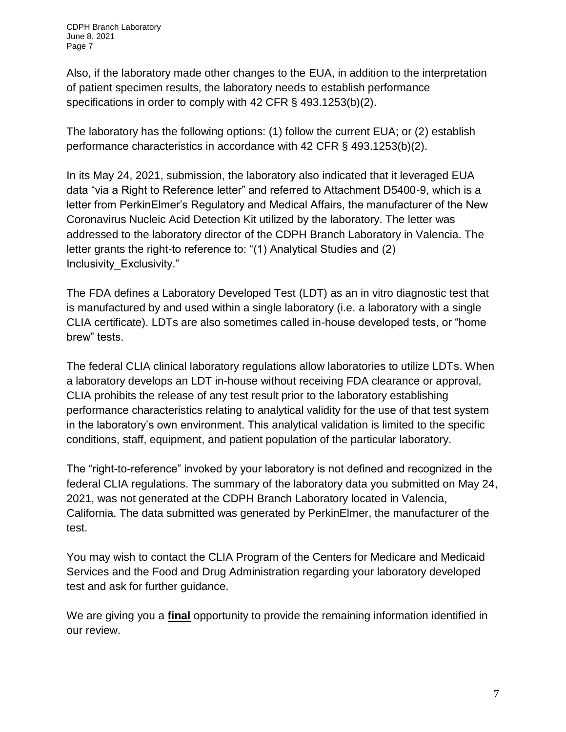Also, if the laboratory made other changes to the EUA, in addition to the interpretation of patient specimen results, the laboratory needs to establish performance specifications in order to comply with 42 CFR § 493.1253(b)(2).

The laboratory has the following options: (1) follow the current EUA; or (2) establish performance characteristics in accordance with 42 CFR § 493.1253(b)(2).

In its May 24, 2021, submission, the laboratory also indicated that it leveraged EUA data "via a Right to Reference letter" and referred to Attachment D5400-9, which is a letter from PerkinElmer's Regulatory and Medical Affairs, the manufacturer of the New Coronavirus Nucleic Acid Detection Kit utilized by the laboratory. The letter was addressed to the laboratory director of the CDPH Branch Laboratory in Valencia. The letter grants the right-to reference to: "(1) Analytical Studies and (2) Inclusivity\_Exclusivity."

The FDA defines a Laboratory Developed Test (LDT) as an in vitro diagnostic test that is manufactured by and used within a single laboratory (i.e. a laboratory with a single CLIA certificate). LDTs are also sometimes called in-house developed tests, or "home brew" tests.

The federal CLIA clinical laboratory regulations allow laboratories to utilize LDTs. When a laboratory develops an LDT in-house without receiving FDA clearance or approval, CLIA prohibits the release of any test result prior to the laboratory establishing performance characteristics relating to analytical validity for the use of that test system in the laboratory's own environment. This analytical validation is limited to the specific conditions, staff, equipment, and patient population of the particular laboratory.

The "right-to-reference" invoked by your laboratory is not defined and recognized in the federal CLIA regulations. The summary of the laboratory data you submitted on May 24, 2021, was not generated at the CDPH Branch Laboratory located in Valencia, California. The data submitted was generated by PerkinElmer, the manufacturer of the test.

You may wish to contact the CLIA Program of the Centers for Medicare and Medicaid Services and the Food and Drug Administration regarding your laboratory developed test and ask for further guidance.

We are giving you a **final** opportunity to provide the remaining information identified in our review.